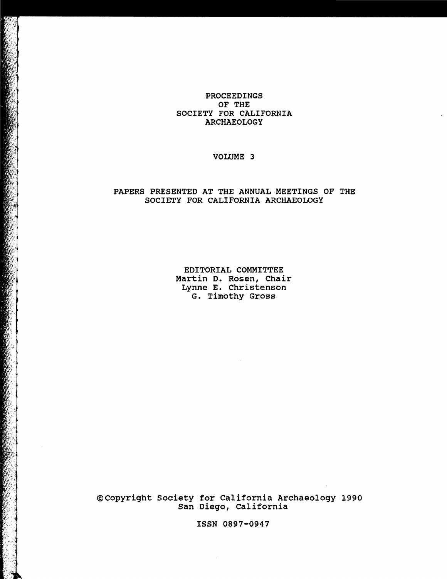# PROCEEDINGS OF THE SOCIETY FOR CALIFORNIA ARCHAEOLOGY

# VOLUME 3

# PAPERS PRESENTED AT THE ANNUAL MEETINGS OF THE SOCIETY FOR CALIFORNIA ARCHAEOLOGY

EDITORIAL COMMITTEE Martin D. Rosen, Chair Lynne E. Christenson G. Timothy Gross

@Copyright Society for California Archaeology 1990 San Diego, California

ISSN 0897-0947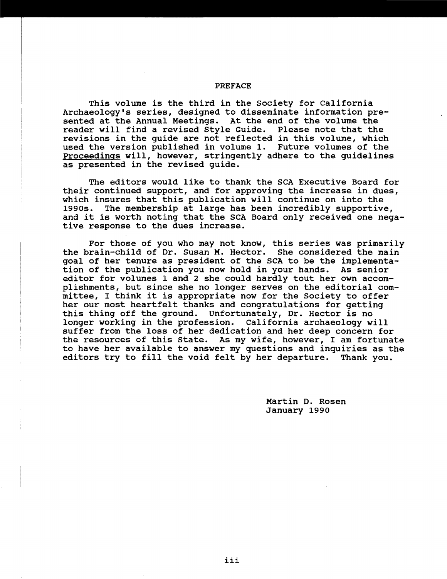#### PREFACE

This volume is the third in the Society for California Archaeology's series, designed to disseminate information presented at the Annual Meetings. At the end of the volume the reader will find a revised Style Guide. Please note that the revisions in the guide are not reflected in this volume, which used the version published in volume 1. Future volumes of the proceedings will, however, stringently adhere to the guidelines as presented in the revised guide.

The editors would like to thank the SCA Executive Board for their continued support, and for approving the increase in dues, which insures that this publication will continue on into the 1990s. The membership at large has been incredibly supportive, and it is worth noting that the SCA Board only received one negative response to the dues increase.

For those of you who may not know, this series was primarily the brain-child of Dr. Susan M. Hector. She considered the main goal of her tenure as president of the SCA to be the implementation of the publication you now hold in your hands. As senior editor for volumes 1 and 2 she could hardly tout her own accomplishments, but since she no longer serves on the editorial committee, I think it is appropriate now for the Society to offer her our most heartfelt thanks and congratulations for getting this thing off the ground. Unfortunately, Dr. Hector is no longer working in the profession. California archaeology will suffer from the loss of her dedication and her deep concern for the resources of this state. As my wife, however, I am fortunate to have her available to answer my questions and inquiries as the editors try to fill the void felt by her departure. Thank you.

> Martin D. Rosen January 1990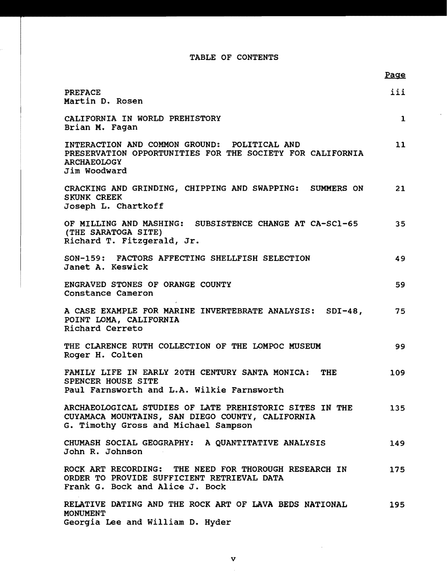### TABLE OF CONTENTS

 $\ddot{\phantom{a}}$ 

|                                                                                                                                                     | Page         |
|-----------------------------------------------------------------------------------------------------------------------------------------------------|--------------|
| <b>PREFACE</b><br>Martin D. Rosen                                                                                                                   | iii          |
| CALIFORNIA IN WORLD PREHISTORY<br>Brian M. Fagan                                                                                                    | $\mathbf{1}$ |
| INTERACTION AND COMMON GROUND: POLITICAL AND<br>PRESERVATION OPPORTUNITIES FOR THE SOCIETY FOR CALIFORNIA<br><b>ARCHAEOLOGY</b><br>Jim Woodward     | 11           |
| CRACKING AND GRINDING, CHIPPING AND SWAPPING: SUMMERS ON<br>SKUNK CREEK<br>Joseph L. Chartkoff                                                      | 21           |
| OF MILLING AND MASHING: SUBSISTENCE CHANGE AT CA-SC1-65<br>(THE SARATOGA SITE)<br>Richard T. Fitzgerald, Jr.                                        | 35           |
| SON-159: FACTORS AFFECTING SHELLFISH SELECTION<br>Janet A. Keswick                                                                                  | 49           |
| ENGRAVED STONES OF ORANGE COUNTY<br>Constance Cameron                                                                                               | 59           |
| A CASE EXAMPLE FOR MARINE INVERTEBRATE ANALYSIS: SDI-48,<br>POINT LOMA, CALIFORNIA<br>Richard Cerreto                                               | 75           |
| THE CLARENCE RUTH COLLECTION OF THE LOMPOC MUSEUM<br>Roger H. Colten                                                                                | 99           |
| FAMILY LIFE IN EARLY 20TH CENTURY SANTA MONICA: THE<br>SPENCER HOUSE SITE<br>Paul Farnsworth and L.A. Wilkie Farnsworth                             | 109          |
| ARCHAEOLOGICAL STUDIES OF LATE PREHISTORIC SITES IN THE<br>CUYAMACA MOUNTAINS, SAN DIEGO COUNTY, CALIFORNIA<br>G. Timothy Gross and Michael Sampson | 135          |
| CHUMASH SOCIAL GEOGRAPHY: A QUANTITATIVE ANALYSIS<br>John R. Johnson                                                                                | 149          |
| ROCK ART RECORDING: THE NEED FOR THOROUGH RESEARCH IN<br>ORDER TO PROVIDE SUFFICIENT RETRIEVAL DATA<br>Frank G. Bock and Alice J. Bock              | 175          |
| RELATIVE DATING AND THE ROCK ART OF LAVA BEDS NATIONAL<br><b>MONUMENT</b><br>Georgia Lee and William D. Hyder                                       | 195          |

 $\sim$